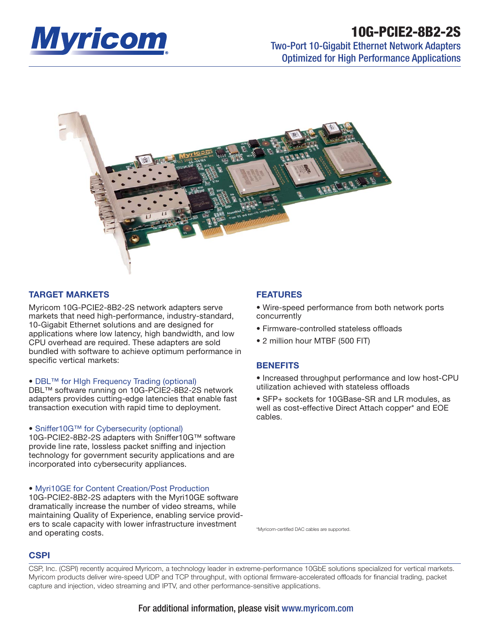

# **10G-PCIE2-8B2-2S**

# Two-Port 10-Gigabit Ethernet Network Adapters Optimized for High Performance Applications



# **TARGET MARKETS**

Myricom 10G-PCIE2-8B2-2S network adapters serve markets that need high-performance, industry-standard, 10-Gigabit Ethernet solutions and are designed for applications where low latency, high bandwidth, and low CPU overhead are required. These adapters are sold bundled with software to achieve optimum performance in specific vertical markets:

# • DBL™ for HIgh Frequency Trading (optional)

DBL™ software running on 10G-PCIE2-8B2-2S network adapters provides cutting-edge latencies that enable fast transaction execution with rapid time to deployment.

# • Sniffer10G™ for Cybersecurity (optional)

10G-PCIE2-8B2-2S adapters with Sniffer10G™ software provide line rate, lossless packet sniffing and injection technology for government security applications and are incorporated into cybersecurity appliances.

# • Myri10GE for Content Creation/Post Production

10G-PCIE2-8B2-2S adapters with the Myri10GE software dramatically increase the number of video streams, while maintaining Quality of Experience, enabling service providers to scale capacity with lower infrastructure investment and operating costs.

# **FEATURES**

• Wire-speed performance from both network ports concurrently

- Firmware-controlled stateless offloads
- 2 million hour MTBF (500 FIT)

# **BENEFITS**

• Increased throughput performance and low host-CPU utilization achieved with stateless offloads

• SFP+ sockets for 10GBase-SR and LR modules, as well as cost-effective Direct Attach copper\* and EOE cables.

\*Myricom-certified DAC cables are supported

# **CSPI**

CSP, Inc. (CSPI) recently acquired Myricom, a technology leader in extreme-performance 10GbE solutions specialized for vertical markets. Myricom products deliver wire-speed UDP and TCP throughput, with optional firmware-accelerated offloads for financial trading, packet capture and injection, video streaming and IPTV, and other performance-sensitive applications.